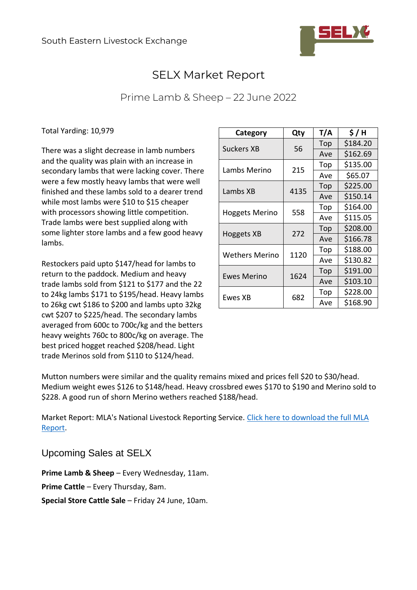

## SELX Market Report

## Prime Lamb & Sheep – 22 June 2022

Total Yarding: 10,979

There was a slight decrease in lamb numbers and the quality was plain with an increase in secondary lambs that were lacking cover. There were a few mostly heavy lambs that were well finished and these lambs sold to a dearer trend while most lambs were \$10 to \$15 cheaper with processors showing little competition. Trade lambs were best supplied along with some lighter store lambs and a few good heavy lambs.

Restockers paid upto \$147/head for lambs to return to the paddock. Medium and heavy trade lambs sold from \$121 to \$177 and the 22 to 24kg lambs \$171 to \$195/head. Heavy lambs to 26kg cwt \$186 to \$200 and lambs upto 32kg cwt \$207 to \$225/head. The secondary lambs averaged from 600c to 700c/kg and the betters heavy weights 760c to 800c/kg on average. The best priced hogget reached \$208/head. Light trade Merinos sold from \$110 to \$124/head.

| Category              | Qty  | T/A | \$/H     |
|-----------------------|------|-----|----------|
| <b>Suckers XB</b>     | 56   | Top | \$184.20 |
|                       |      | Ave | \$162.69 |
| Lambs Merino          | 215  | Top | \$135.00 |
|                       |      | Ave | \$65.07  |
| Lambs XB              | 4135 | Top | \$225.00 |
|                       |      | Ave | \$150.14 |
| <b>Hoggets Merino</b> | 558  | Top | \$164.00 |
|                       |      | Ave | \$115.05 |
| Hoggets XB            | 272  | Top | \$208.00 |
|                       |      | Ave | \$166.78 |
| <b>Wethers Merino</b> | 1120 | Top | \$188.00 |
|                       |      | Ave | \$130.82 |
| <b>Ewes Merino</b>    | 1624 | Top | \$191.00 |
|                       |      | Ave | \$103.10 |
| Ewes XB               | 682  | Top | \$228.00 |
|                       |      | Ave | \$168.90 |

Mutton numbers were similar and the quality remains mixed and prices fell \$20 to \$30/head. Medium weight ewes \$126 to \$148/head. Heavy crossbred ewes \$170 to \$190 and Merino sold to \$228. A good run of shorn Merino wethers reached \$188/head.

Market Report: MLA's National Livestock Reporting Service. [Click here to download the full MLA](https://selxnsw.com.au/wp-content/uploads/2022/06/Yass-sheep-22-June-22.pdf)  [Report.](https://selxnsw.com.au/wp-content/uploads/2022/06/Yass-sheep-22-June-22.pdf)

Upcoming Sales at SELX

**Prime Lamb & Sheep** – Every Wednesday, 11am.

**Prime Cattle** – Every Thursday, 8am.

**Special Store Cattle Sale** – Friday 24 June, 10am.